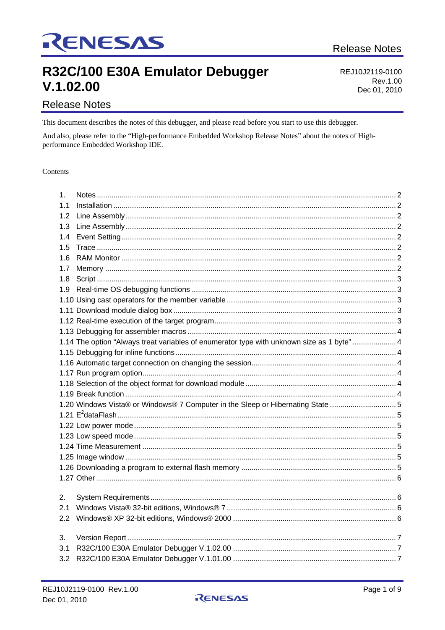# RENESAS

## R32C/100 E30A Emulator Debugger  $V.1.02.00$

REJ10J2119-0100 Rev.1.00 Dec 01, 2010

### **Release Notes**

This document describes the notes of this debugger, and please read before you start to use this debugger.

And also, please refer to the "High-performance Embedded Workshop Release Notes" about the notes of Highperformance Embedded Workshop IDE.

#### Contents

| 1.  |                                                                                            |  |  |  |
|-----|--------------------------------------------------------------------------------------------|--|--|--|
| 1.1 |                                                                                            |  |  |  |
| 1.2 |                                                                                            |  |  |  |
| 1.3 |                                                                                            |  |  |  |
| 1.4 |                                                                                            |  |  |  |
| 1.5 |                                                                                            |  |  |  |
| 1.6 |                                                                                            |  |  |  |
| 1.7 |                                                                                            |  |  |  |
| 1.8 |                                                                                            |  |  |  |
| 1.9 |                                                                                            |  |  |  |
|     |                                                                                            |  |  |  |
|     |                                                                                            |  |  |  |
|     |                                                                                            |  |  |  |
|     |                                                                                            |  |  |  |
|     | 1.14 The option "Always treat variables of enumerator type with unknown size as 1 byte"  4 |  |  |  |
|     |                                                                                            |  |  |  |
|     |                                                                                            |  |  |  |
|     |                                                                                            |  |  |  |
|     |                                                                                            |  |  |  |
|     |                                                                                            |  |  |  |
|     | 1.20 Windows Vista® or Windows® 7 Computer in the Sleep or Hibernating State 5             |  |  |  |
|     |                                                                                            |  |  |  |
|     |                                                                                            |  |  |  |
|     |                                                                                            |  |  |  |
|     |                                                                                            |  |  |  |
|     |                                                                                            |  |  |  |
|     |                                                                                            |  |  |  |
|     |                                                                                            |  |  |  |
|     |                                                                                            |  |  |  |
| 2.  |                                                                                            |  |  |  |
| 2.1 |                                                                                            |  |  |  |
| 2.2 |                                                                                            |  |  |  |
|     |                                                                                            |  |  |  |
| 3.  |                                                                                            |  |  |  |
| 3.1 |                                                                                            |  |  |  |
| 3.2 |                                                                                            |  |  |  |

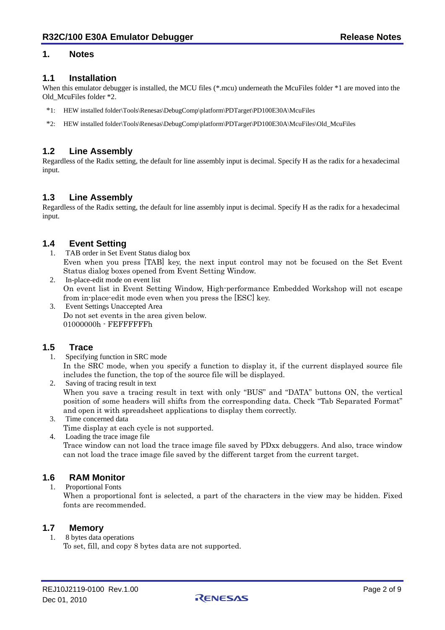#### <span id="page-1-0"></span>**1. Notes**

#### **1.1 Installation**

When this emulator debugger is installed, the MCU files (\*.mcu) underneath the McuFiles folder \*1 are moved into the Old\_McuFiles folder \*2.

- \*1: HEW installed folder\Tools\Renesas\DebugComp\platform\PDTarget\PD100E30A\McuFiles
- \*2: HEW installed folder\Tools\Renesas\DebugComp\platform\PDTarget\PD100E30A\McuFiles\Old\_McuFiles

#### **1.2 Line Assembly**

Regardless of the Radix setting, the default for line assembly input is decimal. Specify H as the radix for a hexadecimal input.

#### **1.3 Line Assembly**

Regardless of the Radix setting, the default for line assembly input is decimal. Specify H as the radix for a hexadecimal input.

#### **1.4 Event Setting**

- 1. TAB order in Set Event Status dialog box Even when you press [TAB] key, the next input control may not be focused on the Set Event Status dialog boxes opened from Event Setting Window.
- 2. In-place-edit mode on event list On event list in Event Setting Window, High-performance Embedded Workshop will not escape from in-place-edit mode even when you press the [ESC] key.
- 3. Event Settings Unaccepted Area Do not set events in the area given below. 01000000h - FEFFFFFFh

# **1.5 Trace**

- Specifying function in SRC mode In the SRC mode, when you specify a function to display it, if the current displayed source file includes the function, the top of the source file will be displayed.
- 2. Saving of tracing result in text When you save a tracing result in text with only "BUS" and "DATA" buttons ON, the vertical position of some headers will shifts from the corresponding data. Check "Tab Separated Format" and open it with spreadsheet applications to display them correctly.

#### 3. Time concerned data

- Time display at each cycle is not supported.
- 4. Loading the trace image file

Trace window can not load the trace image file saved by PDxx debuggers. And also, trace window can not load the trace image file saved by the different target from the current target.

# **1.6 RAM Monitor**

1. Proportional Fonts

When a proportional font is selected, a part of the characters in the view may be hidden. Fixed fonts are recommended.

#### **1.7 Memory**

1. 8 bytes data operations To set, fill, and copy 8 bytes data are not supported.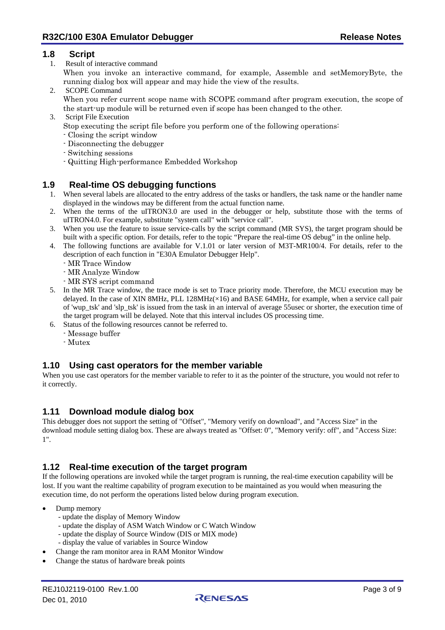#### <span id="page-2-0"></span>**1.8 Script**

1. Result of interactive command

When you invoke an interactive command, for example, Assemble and setMemoryByte, the running dialog box will appear and may hide the view of the results.

- 2. SCOPE Command When you refer current scope name with SCOPE command after program execution, the scope of the start-up module will be returned even if scope has been changed to the other.
- 3. Script File Execution
	- Stop executing the script file before you perform one of the following operations:
	- Closing the script window
	- Disconnecting the debugger
	- Switching sessions
	- Quitting High-performance Embedded Workshop

#### **1.9 Real-time OS debugging functions**

- 1. When several labels are allocated to the entry address of the tasks or handlers, the task name or the handler name displayed in the windows may be different from the actual function name.
- 2. When the terms of the uITRON3.0 are used in the debugger or help, substitute those with the terms of uITRON4.0. For example, substitute "system call" with "service call".
- 3. When you use the feature to issue service-calls by the script command (MR SYS), the target program should be built with a specific option. For details, refer to the topic "Prepare the real-time OS debug" in the online help.
- 4. The following functions are available for V.1.01 or later version of M3T-MR100/4. For details, refer to the description of each function in "E30A Emulator Debugger Help".
	- MR Trace Window
	- MR Analyze Window
	- MR SYS script command
- 5. In the MR Trace window, the trace mode is set to Trace priority mode. Therefore, the MCU execution may be delayed. In the case of XIN 8MHz, PLL 128MHz(×16) and BASE 64MHz, for example, when a service call pair of 'wup\_tsk' and 'slp\_tsk' is issued from the task in an interval of average 55usec or shorter, the execution time of the target program will be delayed. Note that this interval includes OS processing time.
- 6. Status of the following resources cannot be referred to.
	- Message buffer
	- Mutex

#### **1.10 Using cast operators for the member variable**

When you use cast operators for the member variable to refer to it as the pointer of the structure, you would not refer to it correctly.

#### **1.11 Download module dialog box**

This debugger does not support the setting of "Offset", "Memory verify on download", and "Access Size" in the download module setting dialog box. These are always treated as "Offset: 0", "Memory verify: off", and "Access Size: 1".

#### **1.12 Real-time execution of the target program**

If the following operations are invoked while the target program is running, the real-time execution capability will be lost. If you want the realtime capability of program execution to be maintained as you would when measuring the execution time, do not perform the operations listed below during program execution.

- Dump memory
	- update the display of Memory Window
	- update the display of ASM Watch Window or C Watch Window
	- update the display of Source Window (DIS or MIX mode)
	- display the value of variables in Source Window
- Change the ram monitor area in RAM Monitor Window
- Change the status of hardware break points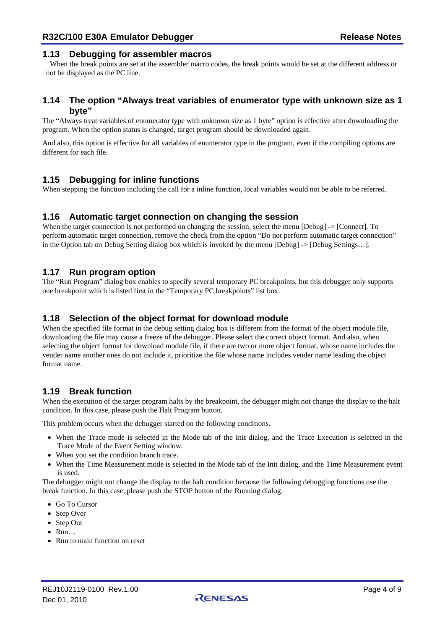#### <span id="page-3-0"></span>**1.13 Debugging for assembler macros**

When the break points are set at the assembler macro codes, the break points would be set at the different address or not be displayed as the PC line.

#### **1.14 The option "Always treat variables of enumerator type with unknown size as 1 byte"**

The "Always treat variables of enumerator type with unknown size as 1 byte" option is effective after downloading the program. When the option status is changed, target program should be downloaded again.

And also, this option is effective for all variables of enumerator type in the program, even if the compiling options are different for each file.

#### **1.15 Debugging for inline functions**

When stepping the function including the call for a inline function, local variables would not be able to be referred.

#### **1.16 Automatic target connection on changing the session**

When the target connection is not performed on changing the session, select the menu [Debug]  $\rightarrow$  [Connect]. To perform automatic target connection, remove the check from the option "Do not perform automatic target connection" in the Option tab on Debug Setting dialog box which is invoked by the menu [Debug] -> [Debug Settings…].

#### **1.17 Run program option**

The "Run Program" dialog box enables to specify several temporary PC breakpoints, but this debugger only supports one breakpoint which is listed first in the "Temporary PC breakpoints" list box.

#### **1.18 Selection of the object format for download module**

When the specified file format in the debug setting dialog box is different from the format of the object module file, downloading the file may cause a freeze of the debugger. Please select the correct object format. And also, when selecting the object format for download module file, if there are two or more object format, whose name includes the vender name another ones do not include it, prioritize the file whose name includes vender name leading the object format name.

#### **1.19 Break function**

When the execution of the target program halts by the breakpoint, the debugger might not change the display to the halt condition. In this case, please push the Halt Program button.

This problem occurs when the debugger started on the following conditions.

- When the Trace mode is selected in the Mode tab of the Init dialog, and the Trace Execution is selected in the Trace Mode of the Event Setting window.
- When you set the condition branch trace.
- When the Time Measurement mode is selected in the Mode tab of the Init dialog, and the Time Measurement event is used.

The debugger might not change the display to the halt condition because the following debugging functions use the break function. In this case, please push the STOP button of the Running dialog.

- Go To Cursor
- Step Over
- Step Out
- Run…
- Run to main function on reset

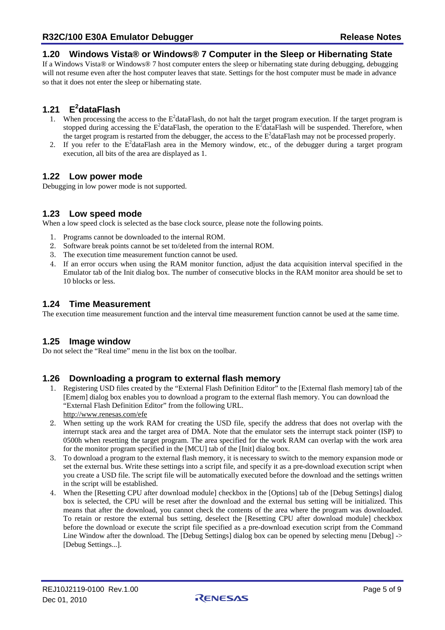#### <span id="page-4-0"></span>**1.20 Windows Vista® or Windows® 7 Computer in the Sleep or Hibernating State**

If a Windows Vista® or Windows® 7 host computer enters the sleep or hibernating state during debugging, debugging will not resume even after the host computer leaves that state. Settings for the host computer must be made in advance so that it does not enter the sleep or hibernating state.

### **1.21 E2 dataFlash**

- 1. When processing the access to the  $E^2$ dataFlash, do not halt the target program execution. If the target program is stopped during accessing the  $E^2$ dataFlash, the operation to the  $E^2$ dataFlash will be suspended. Therefore, when the target program is restarted from the debugger, the access to the  $E^2$ dataFlash may not be processed properly.
- 2. If you refer to the  $E^2$ dataFlash area in the Memory window, etc., of the debugger during a target program execution, all bits of the area are displayed as 1.

#### **1.22 Low power mode**

Debugging in low power mode is not supported.

#### **1.23 Low speed mode**

When a low speed clock is selected as the base clock source, please note the following points.

- 1. Programs cannot be downloaded to the internal ROM.
- 2. Software break points cannot be set to/deleted from the internal ROM.
- 3. The execution time measurement function cannot be used.
- 4. If an error occurs when using the RAM monitor function, adjust the data acquisition interval specified in the Emulator tab of the Init dialog box. The number of consecutive blocks in the RAM monitor area should be set to 10 blocks or less.

#### **1.24 Time Measurement**

The execution time measurement function and the interval time measurement function cannot be used at the same time.

#### **1.25 Image window**

Do not select the "Real time" menu in the list box on the toolbar.

#### **1.26 Downloading a program to external flash memory**

- 1. Registering USD files created by the "External Flash Definition Editor" to the [External flash memory] tab of the [Emem] dialog box enables you to download a program to the external flash memory. You can download the "External Flash Definition Editor" from the following URL. <http://www.renesas.com/efe>
- 2. When setting up the work RAM for creating the USD file, specify the address that does not overlap with the interrupt stack area and the target area of DMA. Note that the emulator sets the interrupt stack pointer (ISP) to 0500h when resetting the target program. The area specified for the work RAM can overlap with the work area for the monitor program specified in the [MCU] tab of the [Init] dialog box.
- 3. To download a program to the external flash memory, it is necessary to switch to the memory expansion mode or set the external bus. Write these settings into a script file, and specify it as a pre-download execution script when you create a USD file. The script file will be automatically executed before the download and the settings written in the script will be established.
- 4. When the [Resetting CPU after download module] checkbox in the [Options] tab of the [Debug Settings] dialog box is selected, the CPU will be reset after the download and the external bus setting will be initialized. This means that after the download, you cannot check the contents of the area where the program was downloaded. To retain or restore the external bus setting, deselect the [Resetting CPU after download module] checkbox before the download or execute the script file specified as a pre-download execution script from the Command Line Window after the download. The [Debug Settings] dialog box can be opened by selecting menu [Debug] -> [Debug Settings...].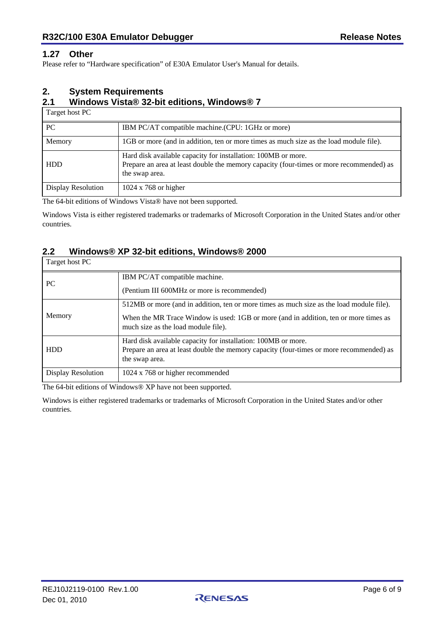#### <span id="page-5-0"></span>**1.27 Other**

Please refer to "Hardware specification" of E30A Emulator User's Manual for details.

#### **2. System Requirements**

#### **2.1 Windows Vista® 32-bit editions, Windows® 7**

Target host PC

| PC                 | IBM PC/AT compatible machine. (CPU: 1GHz or more)                                                                                                                          |  |  |
|--------------------|----------------------------------------------------------------------------------------------------------------------------------------------------------------------------|--|--|
| Memory             | 1GB or more (and in addition, ten or more times as much size as the load module file).                                                                                     |  |  |
| <b>HDD</b>         | Hard disk available capacity for installation: 100MB or more.<br>Prepare an area at least double the memory capacity (four-times or more recommended) as<br>the swap area. |  |  |
| Display Resolution | $1024 \times 768$ or higher                                                                                                                                                |  |  |

The 64-bit editions of Windows Vista® have not been supported.

Windows Vista is either registered trademarks or trademarks of Microsoft Corporation in the United States and/or other countries.

#### **2.2 Windows® XP 32-bit editions, Windows® 2000**

| Target host PC     |                                                                                                                             |  |  |
|--------------------|-----------------------------------------------------------------------------------------------------------------------------|--|--|
| PC                 | IBM PC/AT compatible machine.                                                                                               |  |  |
|                    | (Pentium III 600MHz or more is recommended)                                                                                 |  |  |
|                    | 512MB or more (and in addition, ten or more times as much size as the load module file).                                    |  |  |
| Memory             | When the MR Trace Window is used: 1GB or more (and in addition, ten or more times as<br>much size as the load module file). |  |  |
|                    | Hard disk available capacity for installation: 100MB or more.                                                               |  |  |
| <b>HDD</b>         | Prepare an area at least double the memory capacity (four-times or more recommended) as                                     |  |  |
|                    | the swap area.                                                                                                              |  |  |
| Display Resolution | 1024 x 768 or higher recommended                                                                                            |  |  |

The 64-bit editions of Windows® XP have not been supported.

Windows is either registered trademarks or trademarks of Microsoft Corporation in the United States and/or other countries.

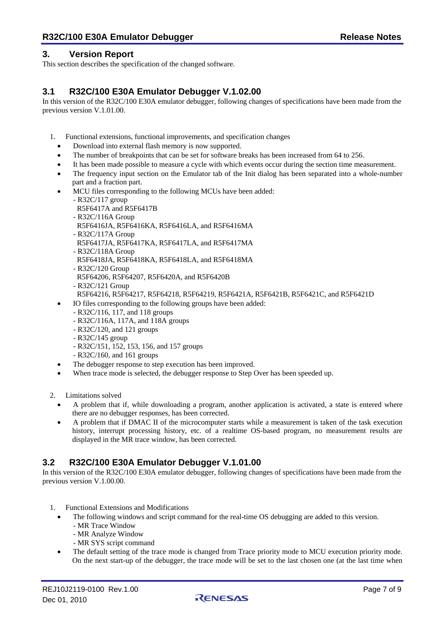#### <span id="page-6-0"></span>**3. Version Report**

This section describes the specification of the changed software.

#### **3.1 R32C/100 E30A Emulator Debugger V.1.02.00**

In this version of the R32C/100 E30A emulator debugger, following changes of specifications have been made from the previous version V.1.01.00.

- 1. Functional extensions, functional improvements, and specification changes
	- Download into external flash memory is now supported.
	- The number of breakpoints that can be set for software breaks has been increased from 64 to 256.
	- It has been made possible to measure a cycle with which events occur during the section time measurement.
	- The frequency input section on the Emulator tab of the Init dialog has been separated into a whole-number part and a fraction part.
	- MCU files corresponding to the following MCUs have been added:
		- R32C/117 group
		- R5F6417A and R5F6417B
		- R32C/116A Group
		- R5F6416JA, R5F6416KA, R5F6416LA, and R5F6416MA
		- R32C/117A Group
		- R5F6417JA, R5F6417KA, R5F6417LA, and R5F6417MA
		- R32C/118A Group
		- R5F6418JA, R5F6418KA, R5F6418LA, and R5F6418MA
		- R32C/120 Group
		- R5F64206, R5F64207, R5F6420A, and R5F6420B
		- R32C/121 Group
		- R5F64216, R5F64217, R5F64218, R5F64219, R5F6421A, R5F6421B, R5F6421C, and R5F6421D
	- IO files corresponding to the following groups have been added:
		- R32C/116, 117, and 118 groups
			- R32C/116A, 117A, and 118A groups
			- R32C/120, and 121 groups
			- R32C/145 group
			- R32C/151, 152, 153, 156, and 157 groups
			- R32C/160, and 161 groups
	- The debugger response to step execution has been improved.
	- When trace mode is selected, the debugger response to Step Over has been speeded up.

2. Limitations solved

- A problem that if, while downloading a program, another application is activated, a state is entered where there are no debugger responses, has been corrected.
- A problem that if DMAC II of the microcomputer starts while a measurement is taken of the task execution history, interrupt processing history, etc. of a realtime OS-based program, no measurement results are displayed in the MR trace window, has been corrected.

#### **3.2 R32C/100 E30A Emulator Debugger V.1.01.00**

In this version of the R32C/100 E30A emulator debugger, following changes of specifications have been made from the previous version V.1.00.00.

- 1. Functional Extensions and Modifications
	- The following windows and script command for the real-time OS debugging are added to this version.
		- MR Trace Window
		- MR Analyze Window
		- MR SYS script command
	- The default setting of the trace mode is changed from Trace priority mode to MCU execution priority mode. On the next start-up of the debugger, the trace mode will be set to the last chosen one (at the last time when

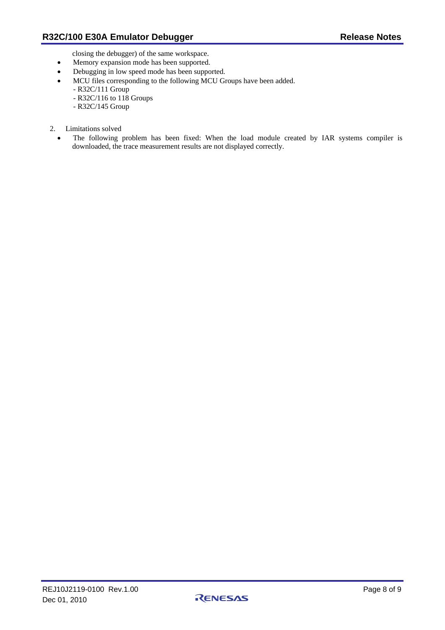closing the debugger) of the same workspace.

- Memory expansion mode has been supported.
- Debugging in low speed mode has been supported.
- MCU files corresponding to the following MCU Groups have been added.
	- R32C/111 Group
	- R32C/116 to 118 Groups
	- R32C/145 Group
- 2. Limitations solved
	- The following problem has been fixed: When the load module created by IAR systems compiler is downloaded, the trace measurement results are not displayed correctly.